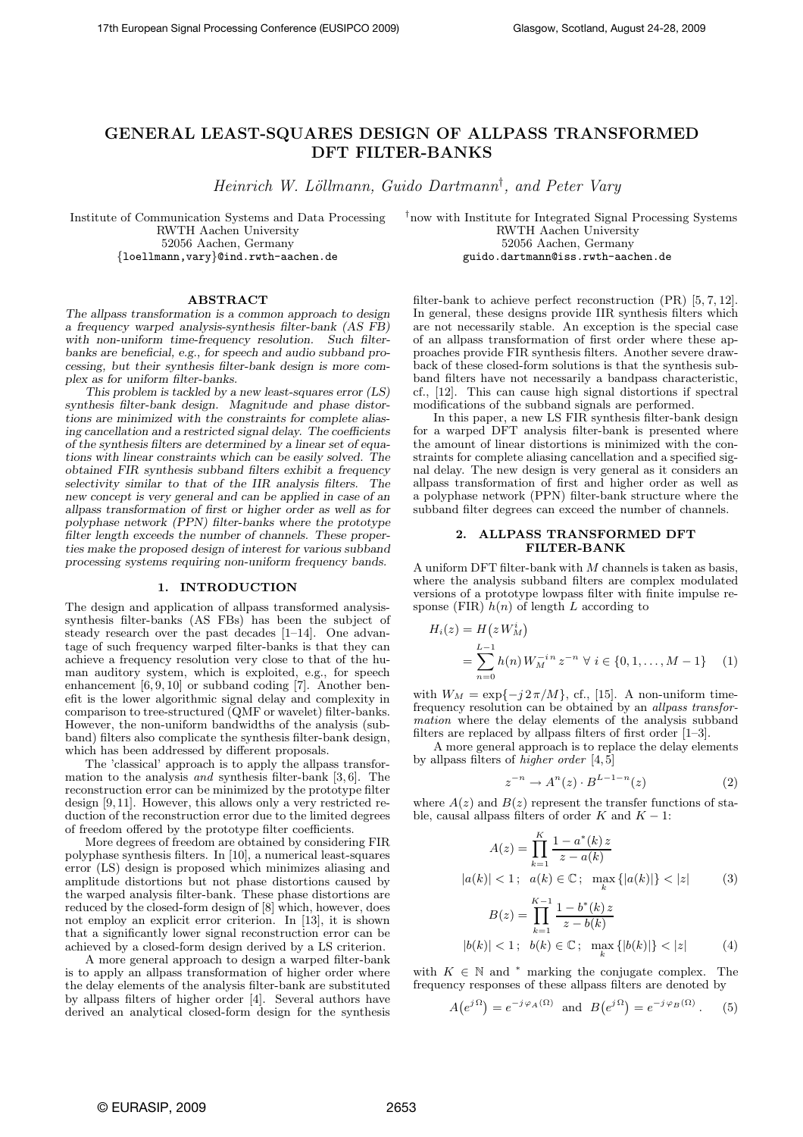# GENERAL LEAST-SQUARES DESIGN OF ALLPASS TRANSFORMED DFT FILTER-BANKS

Heinrich W. Löllmann, Guido Dartmann<sup>†</sup>, and Peter Vary

Institute of Communication Systems and Data Processing RWTH Aachen University 52056 Aachen, Germany {loellmann,vary}@ind.rwth-aachen.de

†now with Institute for Integrated Signal Processing Systems RWTH Aachen University 52056 Aachen, Germany guido.dartmann@iss.rwth-aachen.de

## ABSTRACT

*The allpass transformation is a common approach to design a frequency warped analysis-synthesis filter-bank (AS FB) with non-uniform time-frequency resolution. Such filterbanks are beneficial, e.g., for speech and audio subband processing, but their synthesis filter-bank design is more complex as for uniform filter-banks.*

*This problem is tackled by a new least-squares error (LS) synthesis filter-bank design. Magnitude and phase distortions are minimized with the constraints for complete aliasing cancellation and a restricted signal delay. The coefficients of the synthesis filters are determined by a linear set of equations with linear constraints which can be easily solved. The obtained FIR synthesis subband filters exhibit a frequency selectivity similar to that of the IIR analysis filters. The new concept is very general and can be applied in case of an allpass transformation of first or higher order as well as for polyphase network (PPN) filter-banks where the prototype filter length exceeds the number of channels. These properties make the proposed design of interest for various subband processing systems requiring non-uniform frequency bands.*

## 1. INTRODUCTION

The design and application of allpass transformed analysissynthesis filter-banks (AS FBs) has been the subject of steady research over the past decades [1–14]. One advantage of such frequency warped filter-banks is that they can achieve a frequency resolution very close to that of the human auditory system, which is exploited, e.g., for speech enhancement [6, 9, 10] or subband coding [7]. Another benefit is the lower algorithmic signal delay and complexity in comparison to tree-structured (QMF or wavelet) filter-banks. However, the non-uniform bandwidths of the analysis (subband) filters also complicate the synthesis filter-bank design, which has been addressed by different proposals.

The 'classical' approach is to apply the allpass transformation to the analysis *and* synthesis filter-bank [3, 6]. The reconstruction error can be minimized by the prototype filter design [9, 11]. However, this allows only a very restricted reduction of the reconstruction error due to the limited degrees of freedom offered by the prototype filter coefficients.

More degrees of freedom are obtained by considering FIR polyphase synthesis filters. In [10], a numerical least-squares error (LS) design is proposed which minimizes aliasing and amplitude distortions but not phase distortions caused by the warped analysis filter-bank. These phase distortions are reduced by the closed-form design of [8] which, however, does not employ an explicit error criterion. In [13], it is shown that a significantly lower signal reconstruction error can be achieved by a closed-form design derived by a LS criterion.

A more general approach to design a warped filter-bank is to apply an allpass transformation of higher order where the delay elements of the analysis filter-bank are substituted by allpass filters of higher order [4]. Several authors have derived an analytical closed-form design for the synthesis filter-bank to achieve perfect reconstruction (PR) [5, 7, 12]. In general, these designs provide IIR synthesis filters which are not necessarily stable. An exception is the special case of an allpass transformation of first order where these approaches provide FIR synthesis filters. Another severe drawback of these closed-form solutions is that the synthesis subband filters have not necessarily a bandpass characteristic, cf., [12]. This can cause high signal distortions if spectral modifications of the subband signals are performed.

In this paper, a new LS FIR synthesis filter-bank design for a warped DFT analysis filter-bank is presented where the amount of linear distortions is minimized with the constraints for complete aliasing cancellation and a specified signal delay. The new design is very general as it considers an allpass transformation of first and higher order as well as a polyphase network (PPN) filter-bank structure where the subband filter degrees can exceed the number of channels.

## 2. ALLPASS TRANSFORMED DFT FILTER-BANK

A uniform DFT filter-bank with  $M$  channels is taken as basis, where the analysis subband filters are complex modulated versions of a prototype lowpass filter with finite impulse response (FIR)  $h(n)$  of length L according to

$$
H_i(z) = H(z W_M^i)
$$
  
= 
$$
\sum_{n=0}^{L-1} h(n) W_M^{-i n} z^{-n} \ \forall \ i \in \{0, 1, ..., M-1\} \quad (1)
$$

with  $W_M = \exp\{-j2\pi/M\}$ , cf., [15]. A non-uniform timefrequency resolution can be obtained by an *allpass transformation* where the delay elements of the analysis subband filters are replaced by allpass filters of first order [1–3].

A more general approach is to replace the delay elements by allpass filters of *higher order* [4, 5]

$$
z^{-n} \to A^n(z) \cdot B^{L-1-n}(z) \tag{2}
$$

where  $A(z)$  and  $B(z)$  represent the transfer functions of stable, causal allpass filters of order K and  $K - 1$ :

$$
A(z) = \prod_{k=1}^{K} \frac{1 - a^*(k) z}{z - a(k)}
$$
  

$$
|a(k)| < 1; \quad a(k) \in \mathbb{C}; \quad \max_{k} \{|a(k)|\} < |z|
$$
 (3)

$$
B(z) = \prod_{k=1}^{K-1} \frac{1 - b^*(k) z}{z - b(k)}
$$
  
\n
$$
|b(k)| < 1; \quad b(k) \in \mathbb{C}; \quad \max_{k} \{|b(k)|\} < |z|
$$
 (4)

with  $K \in \mathbb{N}$  and  $*$  marking the conjugate complex. The frequency responses of these allpass filters are denoted by

$$
A(e^{j\Omega}) = e^{-j\varphi_A(\Omega)} \text{ and } B(e^{j\Omega}) = e^{-j\varphi_B(\Omega)}.
$$
 (5)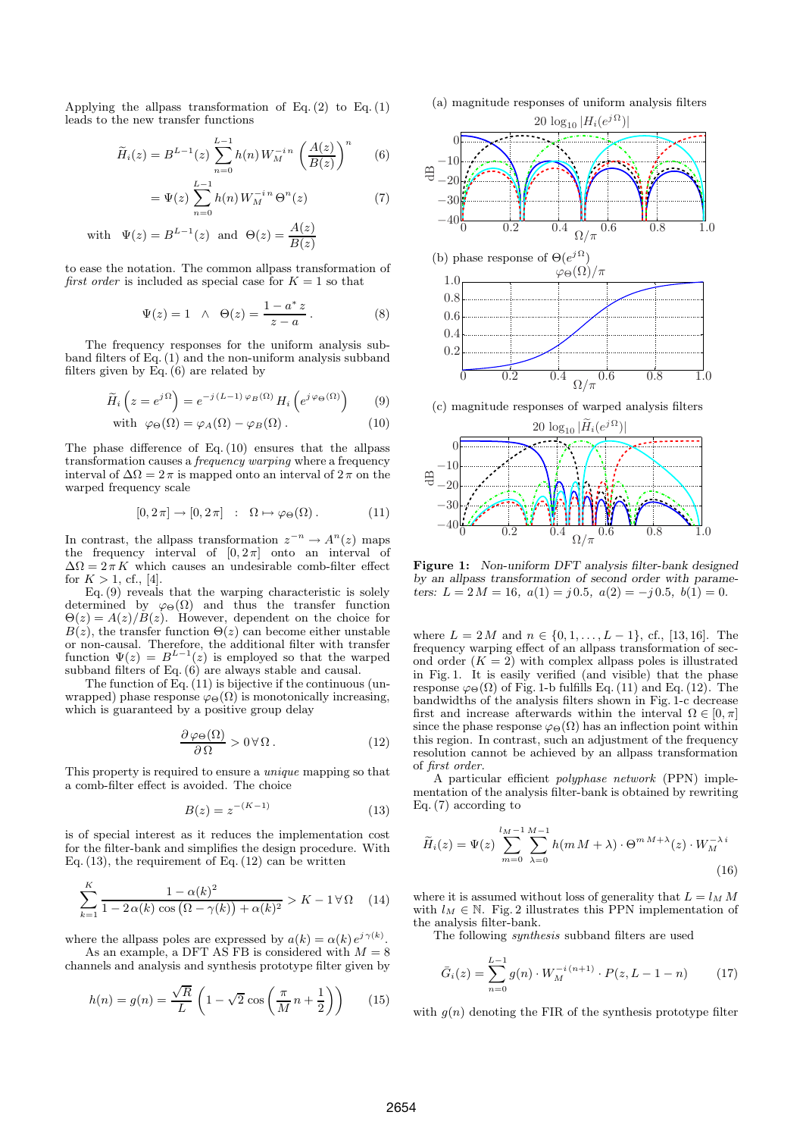Applying the allpass transformation of Eq.  $(2)$  to Eq.  $(1)$ leads to the new transfer functions

$$
\widetilde{H}_i(z) = B^{L-1}(z) \sum_{n=0}^{L-1} h(n) W_M^{-i n} \left( \frac{A(z)}{B(z)} \right)^n \qquad (6)
$$

$$
= \Psi(z) \sum_{n=0}^{L-1} h(n) W_M^{-i n} \Theta^n(z)
$$
 (7)

with 
$$
\Psi(z) = B^{L-1}(z)
$$
 and  $\Theta(z) = \frac{A(z)}{B(z)}$ 

to ease the notation. The common allpass transformation of *first order* is included as special case for  $K = 1$  so that

$$
\Psi(z) = 1 \quad \land \quad \Theta(z) = \frac{1 - a^* z}{z - a}.
$$
\n(8)

The frequency responses for the uniform analysis subband filters of Eq. (1) and the non-uniform analysis subband filters given by Eq.  $(6)$  are related by

$$
\widetilde{H}_i\left(z = e^{j\Omega}\right) = e^{-j(L-1)\varphi_B(\Omega)} H_i\left(e^{j\varphi_{\Theta}(\Omega)}\right) \qquad (9)
$$

with 
$$
\varphi_{\Theta}(\Omega) = \varphi_A(\Omega) - \varphi_B(\Omega)
$$
. (10)

The phase difference of Eq. (10) ensures that the allpass transformation causes a *frequency warping* where a frequency interval of  $\Delta\Omega = 2\pi$  is mapped onto an interval of  $2\pi$  on the warped frequency scale

$$
[0, 2\pi] \to [0, 2\pi] : \Omega \mapsto \varphi_{\Theta}(\Omega). \tag{11}
$$

In contrast, the allpass transformation  $z^{-n} \to A^n(z)$  maps the frequency interval of  $[0, 2\pi]$  onto an interval of  $\Delta\Omega = 2\pi K$  which causes an undesirable comb-filter effect for  $K > 1$ , cf., [4].

Eq. (9) reveals that the warping characteristic is solely determined by  $\varphi_{\Theta}(\Omega)$  and thus the transfer function  $\Theta(z) = A(z)/B(z)$ . However, dependent on the choice for  $B(z)$ , the transfer function  $\Theta(z)$  can become either unstable or non-causal. Therefore, the additional filter with transfer function  $\Psi(z) = B^{L-1}(z)$  is employed so that the warped subband filters of Eq.  $(6)$  are always stable and causal.

The function of  $\overline{Eq.}(11)$  is bijective if the continuous (unwrapped) phase response  $\varphi_{\Theta}(\Omega)$  is monotonically increasing, which is guaranteed by a positive group delay

$$
\frac{\partial \varphi_{\Theta}(\Omega)}{\partial \Omega} > 0 \,\forall \Omega.
$$
 (12)

This property is required to ensure a *unique* mapping so that a comb-filter effect is avoided. The choice

$$
B(z) = z^{-(K-1)}
$$
\n(13)

is of special interest as it reduces the implementation cost for the filter-bank and simplifies the design procedure. With Eq.  $(13)$ , the requirement of Eq.  $(12)$  can be written

$$
\sum_{k=1}^{K} \frac{1 - \alpha(k)^2}{1 - 2\alpha(k)\cos\left(\Omega - \gamma(k)\right) + \alpha(k)^2} > K - 1 \,\forall \,\Omega \quad (14)
$$

where the allpass poles are expressed by  $a(k) = \alpha(k) e^{j \gamma(k)}$ .

As an example, a DFT AS FB is considered with  $M = 8$ channels and analysis and synthesis prototype filter given by

$$
h(n) = g(n) = \frac{\sqrt{R}}{L} \left( 1 - \sqrt{2} \cos \left( \frac{\pi}{M} n + \frac{1}{2} \right) \right) \tag{15}
$$





(c) magnitude responses of warped analysis filters



Figure 1: *Non-uniform DFT analysis filter-bank designed by an allpass transformation of second order with parameters:*  $L = 2M = 16$ ,  $a(1) = j(0.5, a(2)) = -j(0.5, b(1)) = 0$ .

where  $L = 2M$  and  $n \in \{0, 1, \ldots, L-1\}$ , cf., [13, 16]. The frequency warping effect of an allpass transformation of second order  $(K = 2)$  with complex allpass poles is illustrated in Fig. 1. It is easily verified (and visible) that the phase response  $\varphi_{\Theta}(\Omega)$  of Fig. 1-b fulfills Eq. (11) and Eq. (12). The bandwidths of the analysis filters shown in Fig. 1-c decrease first and increase afterwards within the interval  $\Omega \in [0, \pi]$ since the phase response  $\varphi_{\Theta}(\Omega)$  has an inflection point within this region. In contrast, such an adjustment of the frequency resolution cannot be achieved by an allpass transformation of *first order.*

A particular efficient *polyphase network* (PPN) implementation of the analysis filter-bank is obtained by rewriting Eq. (7) according to

$$
\widetilde{H}_i(z) = \Psi(z) \sum_{m=0}^{l_M - 1} \sum_{\lambda=0}^{M-1} h(m M + \lambda) \cdot \Theta^{m M + \lambda}(z) \cdot W_M^{-\lambda i}
$$
\n(16)

where it is assumed without loss of generality that  $L = l_M M$ with  $l_M \in \mathbb{N}$ . Fig. 2 illustrates this PPN implementation of the analysis filter-bank.

The following *synthesis* subband filters are used

$$
\bar{G}_i(z) = \sum_{n=0}^{L-1} g(n) \cdot W_M^{-i(n+1)} \cdot P(z, L-1-n)
$$
 (17)

with  $q(n)$  denoting the FIR of the synthesis prototype filter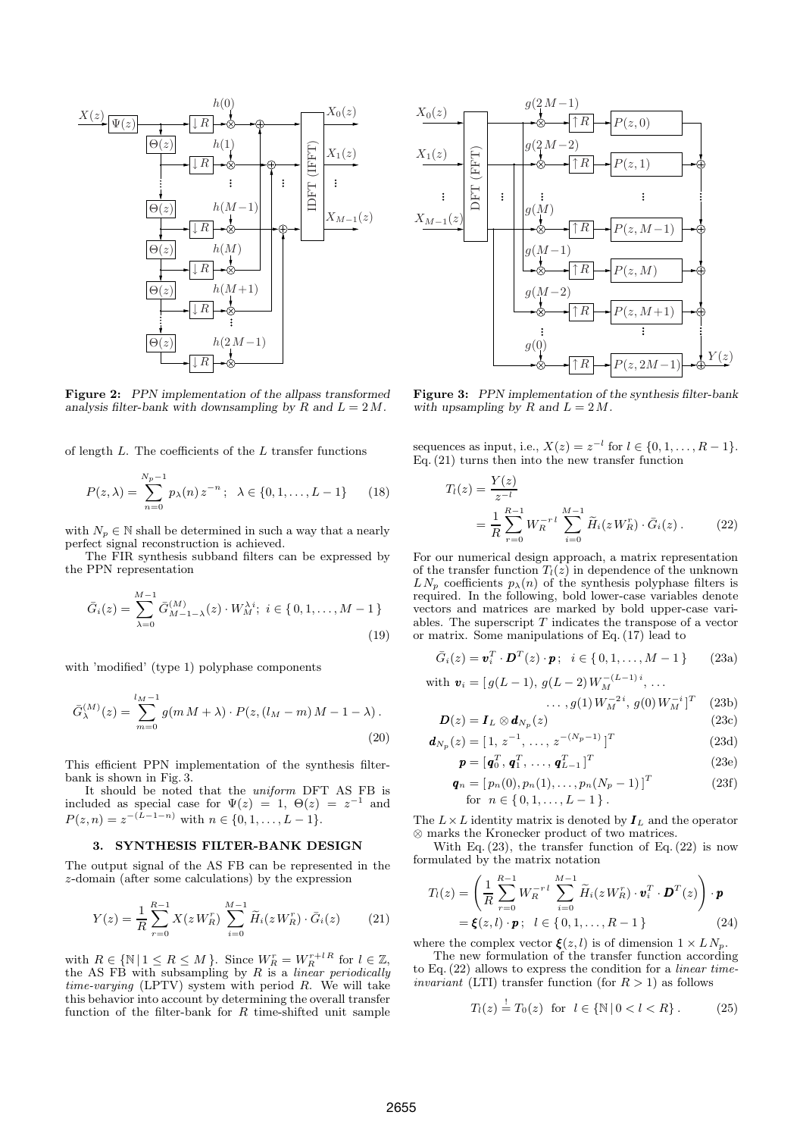

Figure 2: *PPN implementation of the allpass transformed analysis filter-bank with downsampling by*  $R$  *and*  $L = 2M$ .

of length  $L$ . The coefficients of the  $L$  transfer functions

$$
P(z,\lambda) = \sum_{n=0}^{N_p-1} p_{\lambda}(n) z^{-n}; \ \lambda \in \{0,1,\ldots,L-1\} \qquad (18)
$$

with  $N_p \in \mathbb{N}$  shall be determined in such a way that a nearly perfect signal reconstruction is achieved.

The FIR synthesis subband filters can be expressed by the PPN representation

$$
\bar{G}_i(z) = \sum_{\lambda=0}^{M-1} \bar{G}_{M-1-\lambda}^{(M)}(z) \cdot W_M^{\lambda i}; \ i \in \{0, 1, \dots, M-1\}
$$
\n(19)

with 'modified' (type 1) polyphase components

$$
\bar{G}_{\lambda}^{(M)}(z) = \sum_{m=0}^{l_M - 1} g(m M + \lambda) \cdot P(z, (l_M - m) M - 1 - \lambda).
$$
\n(20)

This efficient PPN implementation of the synthesis filterbank is shown in Fig. 3.

It should be noted that the *uniform* DFT AS FB is included as special case for  $\Psi(z) = 1, \Theta(z) = z^{-1}$  and  $P(z, n) = z^{-(L-1-n)}$  with  $n \in \{0, 1, ..., L-1\}.$ 

#### 3. SYNTHESIS FILTER-BANK DESIGN

The output signal of the AS FB can be represented in the z-domain (after some calculations) by the expression

$$
Y(z) = \frac{1}{R} \sum_{r=0}^{R-1} X(zW_R^r) \sum_{i=0}^{M-1} \widetilde{H}_i(zW_R^r) \cdot \bar{G}_i(z)
$$
 (21)

with  $R \in \{ \mathbb{N} \mid 1 \leq R \leq M \}$ . Since  $W_R^r = W_R^{r+l \, R}$  for  $l \in \mathbb{Z}$ , the AS FB with subsampling by R is a *linear periodically time-varying* (LPTV) system with period R. We will take this behavior into account by determining the overall transfer function of the filter-bank for  $R$  time-shifted unit sample



Figure 3: *PPN implementation of the synthesis filter-bank* with upsampling by  $R$  and  $L = 2M$ .

sequences as input, i.e.,  $X(z) = z^{-l}$  for  $l \in \{0, 1, ..., R - 1\}$ . Eq. (21) turns then into the new transfer function

$$
T_l(z) = \frac{Y(z)}{z^{-l}}
$$
  
= 
$$
\frac{1}{R} \sum_{r=0}^{R-1} W_R^{-r l} \sum_{i=0}^{M-1} \tilde{H}_i(z W_R^r) \cdot \bar{G}_i(z).
$$
 (22)

For our numerical design approach, a matrix representation of the transfer function  $T_l(z)$  in dependence of the unknown  $LN_p$  coefficients  $p_{\lambda}(n)$  of the synthesis polyphase filters is required. In the following, bold lower-case variables denote vectors and matrices are marked by bold upper-case variables. The superscript  $T$  indicates the transpose of a vector or matrix. Some manipulations of Eq. (17) lead to

$$
\bar{G}_i(z) = \boldsymbol{v}_i^T \cdot \boldsymbol{D}^T(z) \cdot \boldsymbol{p}; \quad i \in \{0, 1, \dots, M - 1\}
$$
 (23a)

with 
$$
\mathbf{v}_i = [g(L-1), g(L-2)W_M^{-(L-1)i}, \dots]
$$

$$
\ldots, g(1)W_M^{-2i}, g(0)W_M^{-i}]^T \quad (23b)
$$

$$
D(z) = I_L \otimes d_{N_p}(z)
$$
\n(23c)  
\n
$$
L_{\text{tot}}(z) = [1, z^{-1}, z^{-(N_p - 1)}]^T
$$
\n(23d)

$$
\boldsymbol{d}_{N_p}(z) = [1, z^{-1}, \dots, z^{-(N_p - 1)}]^T
$$
 (23d)

$$
\boldsymbol{p} = [\boldsymbol{q}_0^T, \boldsymbol{q}_1^T, \dots, \boldsymbol{q}_{L-1}^T]^T
$$
(23e)

$$
\mathbf{q}_n = [p_n(0), p_n(1), \dots, p_n(N_p - 1)]^T
$$
 (23f)  
for  $n \in \{0, 1, \dots, L - 1\}$ .

The  $L \times L$  identity matrix is denoted by  $I_L$  and the operator ⊗ marks the Kronecker product of two matrices.

With Eq.  $(23)$ , the transfer function of Eq.  $(22)$  is now formulated by the matrix notation

$$
T_l(z) = \left(\frac{1}{R} \sum_{r=0}^{R-1} W_R^{-r} \sum_{i=0}^{M-1} \widetilde{H}_i(z W_R^r) \cdot \mathbf{v}_i^T \cdot \mathbf{D}^T(z)\right) \cdot \mathbf{p}
$$
  
=  $\xi(z, l) \cdot \mathbf{p}; \quad l \in \{0, 1, ..., R-1\}$  (24)

where the complex vector  $\boldsymbol{\xi}(z, l)$  is of dimension  $1 \times L N_p$ .

The new formulation of the transfer function according to Eq. (22) allows to express the condition for a *linear timeinvariant* (LTI) transfer function (for  $R > 1$ ) as follows

$$
T_l(z) \stackrel{!}{=} T_0(z) \text{ for } l \in \{ \mathbb{N} \mid 0 < l < R \}. \tag{25}
$$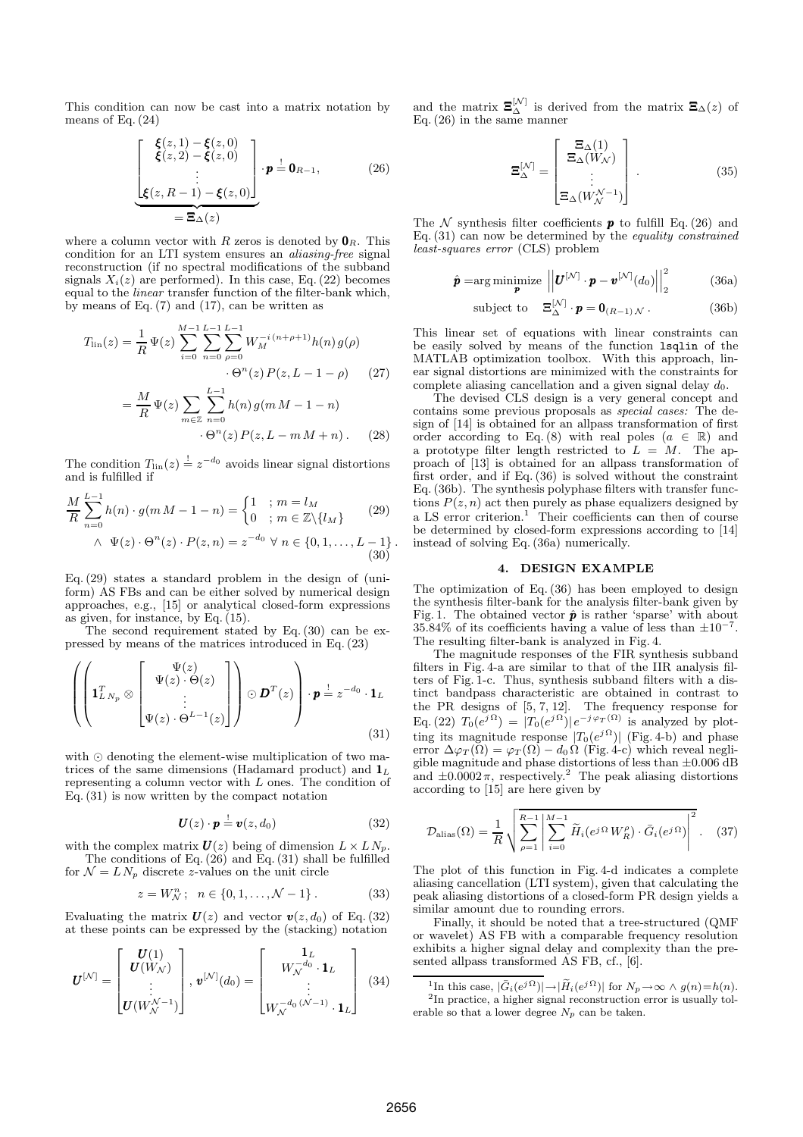This condition can now be cast into a matrix notation by means of Eq. (24)

$$
\underbrace{\begin{bmatrix} \boldsymbol{\xi}(z,1) - \boldsymbol{\xi}(z,0) \\ \boldsymbol{\xi}(z,2) - \boldsymbol{\xi}(z,0) \\ \vdots \\ \boldsymbol{\xi}(z,R-1) - \boldsymbol{\xi}(z,0) \end{bmatrix}}_{=\boldsymbol{\Xi}_{\Delta}(z)} \cdot \boldsymbol{p} \stackrel{!}{=} \mathbf{0}_{R-1},
$$
 (26)

where a column vector with R zeros is denoted by  $\mathbf{0}_R$ . This condition for an LTI system ensures an *aliasing-free* signal reconstruction (if no spectral modifications of the subband signals  $X_i(z)$  are performed). In this case, Eq. (22) becomes equal to the *linear* transfer function of the filter-bank which, by means of Eq.  $(7)$  and  $(17)$ , can be written as

$$
T_{\rm lin}(z) = \frac{1}{R} \Psi(z) \sum_{i=0}^{M-1} \sum_{n=0}^{L-1} \sum_{\rho=0}^{L-1} W_M^{-i(n+\rho+1)} h(n) g(\rho)
$$
  
 
$$
\cdot \Theta^n(z) P(z, L-1-\rho) \qquad (27)
$$
  

$$
= \frac{M}{R} \Psi(z) \sum_{m \in \mathbb{Z}} \sum_{n=0}^{L-1} h(n) g(m M - 1 - n)
$$

 $\cdot \Theta^n(z) P(z, L - m M + n)$ . (28)

The condition  $T_{\text{lin}}(z) \stackrel{!}{=} z^{-d_0}$  avoids linear signal distortions and is fulfilled if

$$
\frac{M}{R} \sum_{n=0}^{L-1} h(n) \cdot g(m \cdot M - 1 - n) = \begin{cases} 1 & ; m = l_M \\ 0 & ; m \in \mathbb{Z} \setminus \{l_M\} \end{cases} \quad (29)
$$
  

$$
\wedge \Psi(z) \cdot \Theta^n(z) \cdot P(z, n) = z^{-d_0} \forall n \in \{0, 1, ..., L - 1\}.
$$

Eq. (29) states a standard problem in the design of (uniform) AS FBs and can be either solved by numerical design approaches, e.g., [15] or analytical closed-form expressions as given, for instance, by Eq. (15).

The second requirement stated by Eq. (30) can be expressed by means of the matrices introduced in Eq. (23)

$$
\left( \left( \mathbf{1}_{L N_p}^T \otimes \begin{bmatrix} \Psi(z) \\ \Psi(z) \cdot \Theta(z) \\ \vdots \\ \Psi(z) \cdot \Theta^{L-1}(z) \end{bmatrix} \right) \odot \boldsymbol{D}^T(z) \right) \cdot \boldsymbol{p} \stackrel{!}{=} z^{-d_0} \cdot \mathbf{1}_L
$$
\n(31)

with ⊙ denoting the element-wise multiplication of two matrices of the same dimensions (Hadamard product) and  $\mathbf{1}_L$ representing a column vector with L ones. The condition of Eq. (31) is now written by the compact notation

$$
\boldsymbol{U}(z)\cdot\boldsymbol{p} \stackrel{!}{=} \boldsymbol{v}(z,d_0) \tag{32}
$$

with the complex matrix  $U(z)$  being of dimension  $L \times L N_p$ . The conditions of Eq. (26) and Eq. (31) shall be fulfilled

for 
$$
\mathcal{N} = LN_p
$$
 discrete z-values on the unit circle

$$
z = W_N^n; \quad n \in \{0, 1, \dots, \mathcal{N} - 1\}.
$$
 (33)

Evaluating the matrix  $U(z)$  and vector  $v(z, d_0)$  of Eq. (32) at these points can be expressed by the (stacking) notation

$$
\boldsymbol{U}^{[\mathcal{N}]} = \begin{bmatrix} \boldsymbol{U}(1) \\ \boldsymbol{U}(W_{\mathcal{N}}) \\ \vdots \\ \boldsymbol{U}(W_{\mathcal{N}}^{\mathcal{N}-1}) \end{bmatrix}, \boldsymbol{v}^{[\mathcal{N}]}(d_{0}) = \begin{bmatrix} \mathbf{1}_{L} \\ W_{\mathcal{N}}^{-d_{0}} \cdot \mathbf{1}_{L} \\ \vdots \\ W_{\mathcal{N}}^{-d_{0}} \left(\mathcal{N}-1\right) \cdot \mathbf{1}_{L} \end{bmatrix}
$$
(34)

and the matrix  $\Xi_{\Delta}^{[N]}$  is derived from the matrix  $\Xi_{\Delta}(z)$  of Eq. (26) in the same manner

$$
\mathbf{\Xi}_{\Delta}^{[\mathcal{N}]} = \begin{bmatrix} \mathbf{\Xi}_{\Delta}(1) \\ \mathbf{\Xi}_{\Delta}(W_{\mathcal{N}}) \\ \vdots \\ \mathbf{\Xi}_{\Delta}(W_{\mathcal{N}}^{\mathcal{N}-1}) \end{bmatrix} . \tag{35}
$$

The N synthesis filter coefficients **p** to fulfill Eq. (26) and Eq. (31) can now be determined by the *equality constrained least-squares error* (CLS) problem

$$
\hat{\boldsymbol{p}} = \arg\min_{\boldsymbol{p}} \text{imize } \left| \left| \boldsymbol{U}^{[\mathcal{N}]} \cdot \boldsymbol{p} - \boldsymbol{v}^{[\mathcal{N}]}(d_0) \right| \right|_2^2 \tag{36a}
$$

subject to 
$$
\mathbf{\Xi}_{\Delta}^{[\mathcal{N}]}\cdot\mathbf{p}=\mathbf{0}_{(R-1)\mathcal{N}}
$$
. (36b)

This linear set of equations with linear constraints can be easily solved by means of the function lsqlin of the MATLAB optimization toolbox. With this approach, linear signal distortions are minimized with the constraints for complete aliasing cancellation and a given signal delay  $d_0$ .

The devised CLS design is a very general concept and contains some previous proposals as *special cases:* The design of [14] is obtained for an allpass transformation of first order according to Eq. (8) with real poles  $(a \in \mathbb{R})$  and a prototype filter length restricted to  $L = M$ . The approach of [13] is obtained for an allpass transformation of first order, and if Eq. (36) is solved without the constraint Eq. (36b). The synthesis polyphase filters with transfer functions  $P(z, n)$  act then purely as phase equalizers designed by a LS error criterion.<sup>1</sup> Their coefficients can then of course be determined by closed-form expressions according to [14] instead of solving Eq. (36a) numerically.

## 4. DESIGN EXAMPLE

The optimization of Eq. (36) has been employed to design the synthesis filter-bank for the analysis filter-bank given by Fig. 1. The obtained vector  $\hat{\boldsymbol{p}}$  is rather 'sparse' with about  $35.84\%$  of its coefficients having a value of less than  $\pm 10^{-7}$ . The resulting filter-bank is analyzed in Fig. 4.

The magnitude responses of the FIR synthesis subband filters in Fig. 4-a are similar to that of the IIR analysis filters of Fig. 1-c. Thus, synthesis subband filters with a distinct bandpass characteristic are obtained in contrast to the PR designs of [5, 7, 12]. The frequency response for Eq. (22)  $T_0(e^{j\Omega}) = |T_0(e^{j\Omega})|e^{-j\varphi_T(\Omega)}$  is analyzed by plotting its magnitude response  $|T_0(e^{j\Omega})|$  (Fig. 4-b) and phase error  $\Delta \varphi_T(\Omega) = \varphi_T(\Omega) - d_0 \Omega$  (Fig. 4-c) which reveal negligible magnitude and phase distortions of less than  $\pm 0.006$  dB and  $\pm 0.0002 \pi$ , respectively.<sup>2</sup> The peak aliasing distortions according to [15] are here given by

$$
\mathcal{D}_{\text{alias}}(\Omega) = \frac{1}{R} \sqrt{\sum_{\rho=1}^{R-1} \left| \sum_{i=0}^{M-1} \widetilde{H}_i(e^{j\Omega} W_R^{\rho}) \cdot \bar{G}_i(e^{j\Omega}) \right|^2}. \quad (37)
$$

The plot of this function in Fig. 4-d indicates a complete aliasing cancellation (LTI system), given that calculating the peak aliasing distortions of a closed-form PR design yields a similar amount due to rounding errors.

Finally, it should be noted that a tree-structured (QMF or wavelet) AS FB with a comparable frequency resolution exhibits a higher signal delay and complexity than the presented allpass transformed AS FB, cf., [6].

<sup>&</sup>lt;sup>1</sup>In this case,  $|\bar{G}_i(e^{j\Omega})| \rightarrow |\tilde{H}_i(e^{j\Omega})|$  for  $N_p \rightarrow \infty \wedge g(n) = h(n)$ . 2 In practice, a higher signal reconstruction error is usually tol-

erable so that a lower degree  $N_p$  can be taken.